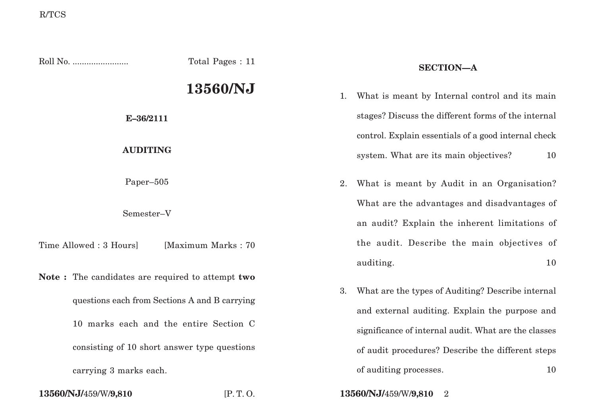| Total Pages: 11                                                                                                                             |                    |    | <b>SECTION-A</b>                                                                                                                                            |  |
|---------------------------------------------------------------------------------------------------------------------------------------------|--------------------|----|-------------------------------------------------------------------------------------------------------------------------------------------------------------|--|
|                                                                                                                                             | 13560/NJ           | 1. | What is meant by Internal control and its main                                                                                                              |  |
| E-36/2111                                                                                                                                   |                    |    | stages? Discuss the different forms of the internal                                                                                                         |  |
| <b>AUDITING</b>                                                                                                                             |                    |    | control. Explain essentials of a good internal check<br>system. What are its main objectives?<br>10                                                         |  |
| Paper-505                                                                                                                                   |                    | 2. | What is meant by Audit in an Organisation?                                                                                                                  |  |
| Semester-V                                                                                                                                  |                    |    | What are the advantages and disadvantages of<br>an audit? Explain the inherent limitations of                                                               |  |
| Time Allowed: 3 Hours]                                                                                                                      | [Maximum Marks: 70 |    | the audit. Describe the main objectives of<br>auditing.<br>10                                                                                               |  |
| Note: The candidates are required to attempt two<br>questions each from Sections A and B carrying<br>10 marks each and the entire Section C |                    | 3. | What are the types of Auditing? Describe internal<br>and external auditing. Explain the purpose and<br>significance of internal audit. What are the classes |  |
| consisting of 10 short answer type questions<br>carrying 3 marks each.<br>13560/NJ/459/W/9,810<br>[P.T.O.                                   |                    |    | of audit procedures? Describe the different steps<br>of auditing processes.<br>10<br>13560/NJ/459/W/9,810<br>$\overline{2}$                                 |  |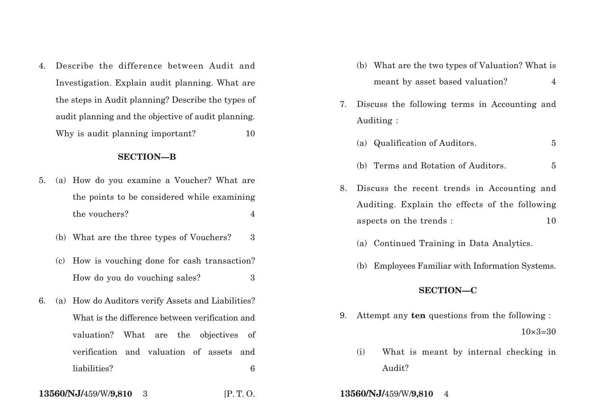4. Describe the difference between Audit and Investigation. Explain audit planning. What are the steps in Audit planning? Describe the types of audit planning and the objective of audit planning. Why is audit planning important? 10

### **SECTION—B**

- 5. (a) How do you examine a Voucher? What are the points to be considered while examining the vouchers? 4
	- (b) What are the three types of Vouchers? 3
	- (c) How is vouching done for cash transaction? How do you do vouching sales? 3
- 6. (a) How do Auditors verify Assets and Liabilities? What is the difference between verification and valuation? What are the objectives of verification and valuation of assets and liabilities? 6
- **13560/NJ/**459/W/**9,810** 3 [P. T. O. **13560/NJ/**459/W/**9,810** 4
- (b) What are the two types of Valuation? What is meant by asset based valuation? 4
- 7. Discuss the following terms in Accounting and Auditing :
	- (a) Qualification of Auditors. 5
	- (b) Terms and Rotation of Auditors. 5
- 8. Discuss the recent trends in Accounting and Auditing. Explain the effects of the following aspects on the trends : 10
	- (a) Continued Training in Data Analytics.
	- (b) Employees Familiar with Information Systems.

# **SECTION—C**

- 9. Attempt any **ten** questions from the following :  $10\times3=30$ 
	- (i) What is meant by internal checking in Audit?
-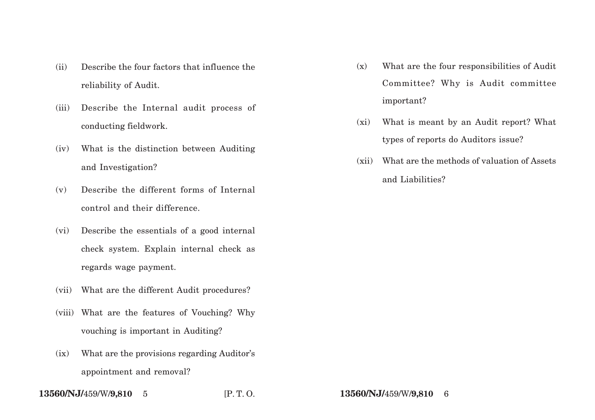- (ii) Describe the four factors that influence the reliability of Audit.
- (iii) Describe the Internal audit process of conducting fieldwork.
- (iv) What is the distinction between Auditing and Investigation?
- (v) Describe the different forms of Internal control and their difference.
- (vi) Describe the essentials of a good internal check system. Explain internal check as regards wage payment.
- (vii) What are the different Audit procedures?
- (viii) What are the features of Vouching? Why vouching is important in Auditing?
- (ix) What are the provisions regarding Auditor's appointment and removal?
- **13560/NJ/**459/W/**9,810** 5 [P. T. O. **13560/NJ/**459/W/**9,810** 6
- (x) What are the four responsibilities of Audit Committee? Why is Audit committee important?
- (xi) What is meant by an Audit report? What types of reports do Auditors issue?
- (xii) What are the methods of valuation of Assets and Liabilities?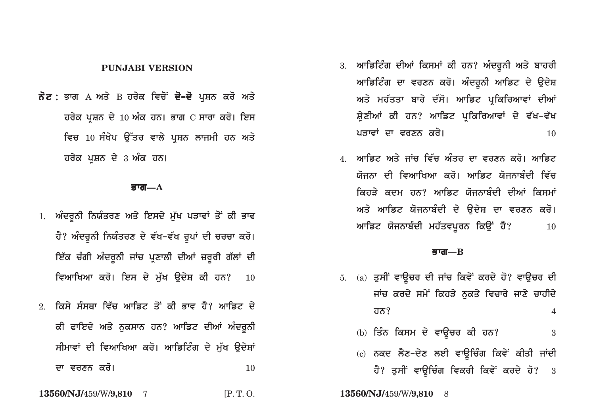# **PUNJABI VERSION**

**ਨੋਟ :** ਭਾਗ А ਅਤੇ В ਹਰੇਕ ਵਿਚੋਂ **ਦੋ–ਦੋ** ਪਸ਼ਨ ਕਰੋ ਅਤੇ  $\vec{a}$ ਰਚੇਕ ਪਸ਼ਨ ਦੇ 10 ਅੰਕ ਹਨ। ਭਾਗ C ਸਾਰਾ ਕਰੋ। ਇਸ **ਵਿਚ 10 ਸੰਖੇਪ ਉੱਤਰ ਵਾਲੇ ਪੁਸ਼ਨ ਲਾਜਮੀ ਹਨ ਅਤੇ ਹਰੇਕ ਪਸ਼ਨ ਦੇ 3 ਅੰਕ ਹਨ।** 

#### **Bwg—A**

- <u>1. ਅੰਦਰੂਨੀ ਨਿਯੰਤਰਣ ਅਤੇ ਇਸਦੇ ਮੁੱਖ ਪੜਾਵਾਂ ਤੋਂ ਕੀ ਭਾਵ</u> ਹੈ? ਅੰਦਰੁਨੀ ਨਿਯੰਤਰਣ ਦੇ ਵੱਖ–ਵੱਖ ਰੁਪਾਂ ਦੀ **ਚਰਚਾ ਕਰੋ**। <u>ਇੱਕ ਚੰਗੀ ਅੰਦਰੂਨੀ ਜਾਂਚ ਪਣਾਲੀ ਦੀਆਂ ਜ਼ਰੂਰੀ ਗੱਲਾਂ ਦੀ</u> ਵਿਆਖਿਆ ਕਰੋ। ਇਸ ਦੇ ਮੁੱਖ ਉਦੇਸ਼ ਕੀ ਹਨ? **10**
- <u>2. ਕਿਸੇ ਸੰਸਥਾ ਵਿੱਚ ਆਡਿਟ ਤੋਂ ਕੀ ਭਾਵ ਹੈ? ਆਡਿਟ ਦੇ </u> ਕੀ ਫਾਇਦੇ ਅਤੇ ਨੁਕਸਾਨ ਹਨ? ਆਡਿਟ ਦੀਆਂ **ਅੰਦਰੂ**ਨੀ ਸੀਮਾਵਾਂ ਦੀ ਵਿਆਖਿਆ ਕਰੋ। ਆਡਿਟਿੰਗ ਦੇ ਮੱਖ **ੳਦੇ**ਸ਼ਾਂ **dw vrxn kro[** <sup>10</sup>

**13560/NJ/**459/W/**9,810** 7 [P. T. O.

- 3. ਆਡਿਟਿੰਗ ਦੀਆਂ ਕਿਸਮਾਂ ਕੀ ਹਨ? ਅੰਦਰੁਨੀ ਅਤੇ **ਬਾਹ**ਰੀ ਆਡਿਟਿੰਗ ਦਾ ਵਰਣਨ ਕਰੋ। ਅੰਦਰੁਨੀ ਆਡਿਟ ਦੇ **ਉਦੇ**ਸ਼ ਅਤੇ ਮਹੱਤਤਾ ਬਾਰੇ ਦੱਸੋ। ਆਡਿਟ ਪਕਿਰਿਆਵਾਂ ਦੀਆਂ ਸ਼ੇਣੀਆਂ ਕੀ ਹਨ? ਆਡਿਟ ਪਕਿਰਿਆਵਾਂ ਦੇ ਵੱਖ-ਵੱ**ਖ pVwvW dw vrxn kro[** <sup>10</sup>
- 4. ਆਡਿਟ ਅਤੇ ਜਾਂਚ ਵਿੱਚ ਅੰਤਰ ਦਾ ਵਰਣਨ ਕਰੋ। ਆਡਿਟ <u>ਯੋਜਨਾ ਦੀ ਵਿਆਖਿਆ ਕਰੋ। ਆਡਿਟ ਯੋਜਨਾਬੰਦੀ ਵਿੱਚ</u> ਕਿਹਤੇ ਕਦਮ ਹਨ? ਆਡਿਟ ਯੋਜਨਾਬੰਦੀ ਦੀਆਂ ਕਿਸਮਾ<u>ਂ</u> ਅਤੇ ਆਡਿਟ ਯੋਜਨਾਬੰਦੀ ਦੇ **ੳਦੇਸ਼ ਦਾ ਵਰਣਨ ਕਰੋ**।  $M$ ਡਿਟ ਯੋਜਨਾਬੰਦੀ ਮਹੱਤਵਪੂਰਨ ਕਿਉਂ ਹੈ? 10

# **Bwg—B**

- 5. (a) ਤੁਸੀਂ ਵਾਊਚਰ ਦੀ ਜਾਂਚ ਕਿਵੇਂ ਕਰਦੇ ਹੋ? ਵਾਉਚਰ ਦੀ ਜਾਂਚ ਕਰਦੇ ਸਮੇਂ ਕਿਹੜੇ ਨਕਤੇ ਵਿਚਾਰੇ ਜਾਣੇ **ਚਾਹੀ**ਦੇ **hn?** 4
	- (b) **iqMn iksm dy vwaUcr kI hn?** <sup>3</sup>
	- (c) ਨਕਦ ਲੈਣ-ਦੇਣ ਲਈ ਵਾਉਚਿੰਗ ਕਿਵੇਂ ਕੀਤੀ ਜਾਂਦੀ **ਹੈ? ਤੁਸੀਂ ਵਾਉਚਿੰਗ ਵਿਕਰੀ ਕਿਵੇਂ ਕਰਦੇ ਹੋ?** 3

**13560/NJ/**459/W/**9,810** 8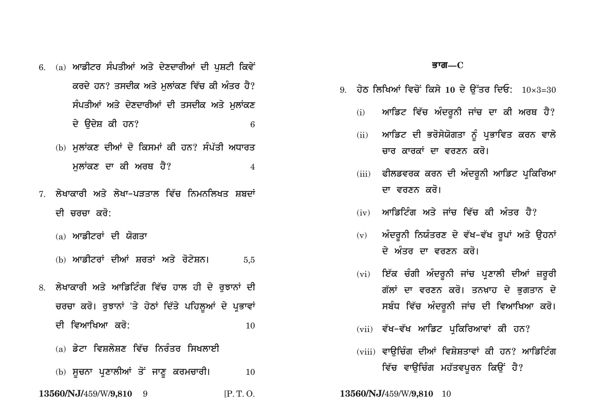- 6. (a) **ਆਡੀਟਰ ਸੰਪਤੀਆਂ ਅਤੇ ਦੇਣਦਾਰੀਆਂ ਦੀ ਪਸ਼ਟੀ ਕਿਵੇਂ** <u>ਕਰਦੇ ਹਨ? ਤਸਦੀਕ ਅਤੇ ਮਲਾਂਕਣ ਵਿੱਚ ਕੀ ਅੰਤਰ ਹੈ?</u> ਸੰਪਤੀਆਂ ਅਤੇ ਦੇਣਦਾਰੀਆਂ ਦੀ ਤਸਦੀਕ ਅਤੇ ਮਲਾਂਕਣ **dy audyS kI hn?** <sup>6</sup>
	- (b) **ਮਲਾਂਕਣ ਦੀਆਂ ਦੋ ਕਿਸਮਾਂ ਕੀ ਹਨ? ਸੰਪੱਤੀ ਅਧਾਰਤ ਮਲਾਂਕਣ ਦਾ ਕੀ ਅਰਥ ਹੈ?** 4
- 7. ਲੇਖਾਕਾਰੀ ਅਤੇ ਲੇਖਾ-ਪਤਤਾਲ ਵਿੱਚ ਨਿਮਨਲਿਖਤ ਸ਼ਬਦਾ<mark>ਂ</mark> ਦੀ ਚਰਚਾ ਕਰੋ:
	- (a) **ਆਡੀਟਰਾਂ ਦੀ ਯੋਗਤਾ**
	- (b) **ਆਡੀਟਰਾਂ ਦੀਆਂ ਸ਼ਰਤਾਂ ਅਤੇ ਰੋਟੇਸ਼ਨ।** 5,5
- 8. ਲੇਖਾਕਾਰੀ ਅਤੇ ਆਡਿਟਿੰਗ ਵਿੱਚ ਹਾਲ ਹੀ ਦੇ ਰਝਾਨਾਂ ਦੀ ਚਰਚਾ ਕਰੋ। ਰੁਝਾਨਾਂ 'ਤੇ ਹੇਠਾਂ ਦਿੱਤੇ ਪਹਿਲੂਆਂ ਦੇ ਪ੍ਰਭਾਵਾ<u>ਂ</u> **dI ivAwiKAw kro:** <sup>10</sup>
	- (a) ਡੇਟਾ ਵਿਸ਼ਲੇਸ਼ਣ ਵਿੱਚ ਨਿਰੰਤਰ ਸਿਖਲਾ**ਈ**
	- (b) **ਸੂਚਨਾ ਪ੍ਰਣਾਲੀਆਂ ਤੋਂ ਜਾਣੂ ਕਰਮਚਾਰੀ।** 10
- **13560/NJ/**459/W/**9,810** 9 [P. T. O. **13560/NJ/**459/W/**9,810** 10

## **Bwg—C**

- 9. ਹੇਠ ਲਿਖਿਆਂ ਵਿਚੋਂ ਕਿਸੇ 10 ਦੇ ਉੱਤਰ ਦਿਓ:  $10\times3=30$ 
	- (i) ਆਡਿਟ ਵਿੱਚ ਅੰਦਰੁਨੀ ਜਾਂਚ ਦਾ ਕੀ ਅਰਥ ਹੈ?
	- (ii) ਆਡਿਟ ਦੀ ਭਰੋਸੇਯੋਗਤਾ ਨੂੰ ਪ੍ਰਭਾਵਿਤ ਕਰਨ ਵਾਲੇ <u>ਜ਼ਾਰ ਕਾਰਕਾਂ ਦਾ ਵਰਣਨ ਕਰੋ।</u>
	- (iii) ਫੀਲਡਵਰਕ ਕਰਨ ਦੀ ਅੰਦਰੁਨੀ ਆਡਿਟ ਪ੍ਰਕਿਰਿਆ ਦਾ ਵਰਣਨ ਕਰੋ।
	- (iv) **ਆਡਿਟਿੰਗ ਅਤੇ ਜਾਂਜ ਵਿੱਜ ਕੀ ਅੰਤਰ ਹੈ**?
	- (v) ਅੰਦਰੁਨੀ ਨਿਯੰਤਰਣ ਦੇ ਵੱਖ–ਵੱਖ ਰੁਪਾਂ ਅਤੇ ਉਹਨਾਂ ਦੇ ਅੰਤਰ ਦਾ ਵਰਣਨ ਕਰੋ।
	- (vi) ਇੱਕ ਚੰਗੀ ਅੰਦਰੂਨੀ ਜਾਂਚ ਪ੍ਰਣਾਲੀ ਦੀਆਂ ਜ਼ਰੂਰੀ ਗੱਲਾਂ ਦਾ ਵਰਣਨ ਕਰੋ। ਤਨਖ਼ਾਹ ਦੇ ਭਗਤਾਨ ਦੇ ਸਬੰਧ ਵਿੱਚ ਅੰਦਰੂਨੀ ਜਾਂਚ ਦੀ **ਵਿਆਖਿਆ ਕਰੋ**।
	- (vii) ਵੱਖ-ਵੱਖ ਆਡਿਟ ਪਕਿਰਿਆਵਾਂ ਕੀ ਹਨ?
	- (viii) ਵਾੳਚਿੰਗ ਦੀਆਂ ਵਿਸ਼ੇਸ਼ਤਾਵਾਂ ਕੀ ਹਨ? ਆਡਿਟਿੰਗ **ਵਿੱਚ ਵਾਉਚਿੰਗ ਮਹੱਤਵਪੂਰਨ ਕਿਉਂ ਹੈ**?
-